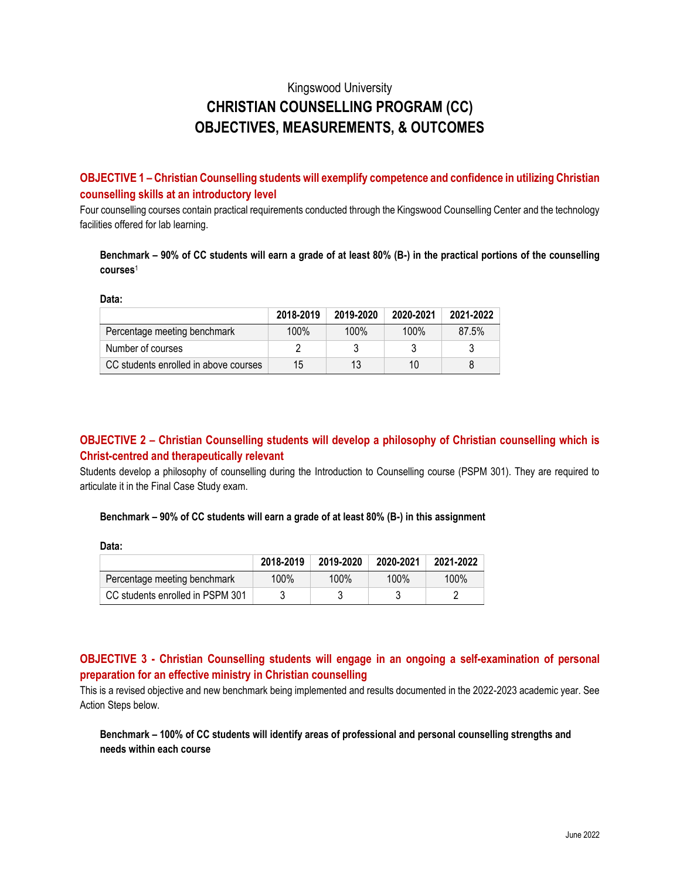# Kingswood University **CHRISTIAN COUNSELLING PROGRAM (CC) OBJECTIVES, MEASUREMENTS, & OUTCOMES**

**OBJECTIVE 1 – Christian Counselling students will exemplify competence and confidence in utilizing Christian counselling skills at an introductory level**

Four counselling courses contain practical requirements conducted through the Kingswood Counselling Center and the technology facilities offered for lab learning.

**Benchmark – 90% of CC students will earn a grade of at least 80% (B-) in the practical portions of the counselling courses** 1

**Data:**

|                                       | 2018-2019 | 2019-2020 | 2020-2021 | 2021-2022 |
|---------------------------------------|-----------|-----------|-----------|-----------|
| Percentage meeting benchmark          | 100%      | 100%      | 100%      | 87.5%     |
| Number of courses                     |           |           |           |           |
| CC students enrolled in above courses | 15        | 13        | 10        |           |

## **OBJECTIVE 2 – Christian Counselling students will develop a philosophy of Christian counselling which is Christ-centred and therapeutically relevant**

Students develop a philosophy of counselling during the Introduction to Counselling course (PSPM 301). They are required to articulate it in the Final Case Study exam.

#### **Benchmark – 90% of CC students will earn a grade of at least 80% (B-) in this assignment**

**Data:**

|                                  | 2018-2019 | 2019-2020 | 2020-2021 | 2021-2022 |
|----------------------------------|-----------|-----------|-----------|-----------|
| Percentage meeting benchmark     | $100\%$   | 100%      | 100%      | 100%      |
| CC students enrolled in PSPM 301 |           |           |           |           |

### **OBJECTIVE 3 - Christian Counselling students will engage in an ongoing a self-examination of personal preparation for an effective ministry in Christian counselling**

This is a revised objective and new benchmark being implemented and results documented in the 2022-2023 academic year. See Action Steps below.

**Benchmark – 100% of CC students will identify areas of professional and personal counselling strengths and needs within each course**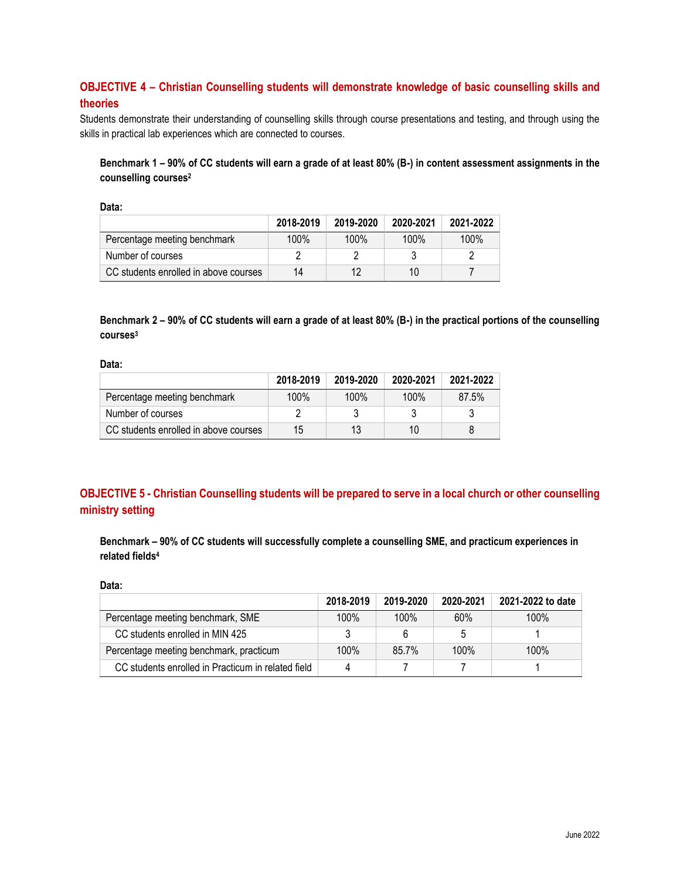# **OBJECTIVE 4 – Christian Counselling students will demonstrate knowledge of basic counselling skills and theories**

Students demonstrate their understanding of counselling skills through course presentations and testing, and through using the skills in practical lab experiences which are connected to courses.

**Benchmark 1 – 90% of CC students will earn a grade of at least 80% (B-) in content assessment assignments in the counselling courses<sup>2</sup>**

|                                       | 2018-2019 | 2019-2020 | 2020-2021 | 2021-2022 |
|---------------------------------------|-----------|-----------|-----------|-----------|
| Percentage meeting benchmark          | 100%      | 100%      | 100%      | 100%      |
| Number of courses                     |           |           |           |           |
| CC students enrolled in above courses | 14        | 12        | 10        |           |

**Benchmark 2 – 90% of CC students will earn a grade of at least 80% (B-) in the practical portions of the counselling courses<sup>3</sup>**

**Data:**

|                                       | 2018-2019 | 2019-2020 | 2020-2021 | 2021-2022 |
|---------------------------------------|-----------|-----------|-----------|-----------|
| Percentage meeting benchmark          | 100%      | 100%      | 100%      | 87.5%     |
| Number of courses                     |           |           |           |           |
| CC students enrolled in above courses | 15        | 13        | 10        |           |

# **OBJECTIVE 5 - Christian Counselling students will be prepared to serve in a local church or other counselling ministry setting**

**Benchmark – 90% of CC students will successfully complete a counselling SME, and practicum experiences in related fields<sup>4</sup>**

#### **Data:**

|                                                    | 2018-2019 | 2019-2020 | 2020-2021 | 2021-2022 to date |
|----------------------------------------------------|-----------|-----------|-----------|-------------------|
| Percentage meeting benchmark, SME                  | 100%      | $100\%$   | 60%       | 100%              |
| CC students enrolled in MIN 425                    |           |           | 5         |                   |
| Percentage meeting benchmark, practicum            | 100%      | 85.7%     | 100%      | $100\%$           |
| CC students enrolled in Practicum in related field |           |           |           |                   |